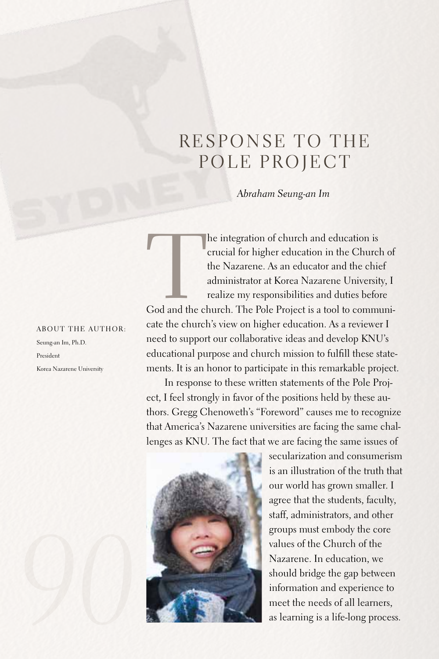## RESPONSE TO THE POLE PROJECT

*Abraham Seung-an Im*

The integration of church and education is<br>
crucial for higher education in the Church of<br>
the Nazarene. As an educator and the chief<br>
administrator at Korea Nazarene University, I<br>
realize my responsibilities and duties b crucial for higher education in the Church of the Nazarene. As an educator and the chief administrator at Korea Nazarene University, I realize my responsibilities and duties before

cate the church's view on higher education. As a reviewer I need to support our collaborative ideas and develop KNU's educational purpose and church mission to fulfill these statements. It is an honor to participate in this remarkable project.

In response to these written statements of the Pole Project, I feel strongly in favor of the positions held by these authors. Gregg Chenoweth's "Foreword" causes me to recognize that America's Nazarene universities are facing the same challenges as KNU. The fact that we are facing the same issues of



secularization and consumerism is an illustration of the truth that our world has grown smaller. I agree that the students, faculty, staff, administrators, and other groups must embody the core values of the Church of the Nazarene. In education, we should bridge the gap between information and experience to meet the needs of all learners, as learning is a life-long process.

## ABOUT THE AUTHOR:

Seung-an Im, Ph.D. President Korea Nazarene University

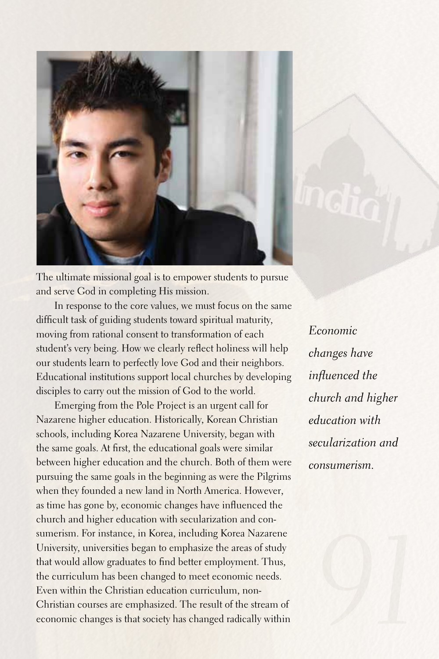

The ultimate missional goal is to empower students to pursue and serve God in completing His mission.

In response to the core values, we must focus on the same difficult task of guiding students toward spiritual maturity, moving from rational consent to transformation of each student's very being. How we clearly reflect holiness will help our students learn to perfectly love God and their neighbors. Educational institutions support local churches by developing disciples to carry out the mission of God to the world.

Emerging from the Pole Project is an urgent call for Nazarene higher education. Historically, Korean Christian schools, including Korea Nazarene University, began with the same goals.At first, the educational goals were similar between higher education and the church. Both of them were pursuing the same goals in the beginning as were the Pilgrims when they founded a new land in North America. However, as time has gone by, economic changes have influenced the church and higher education with secularization and consumerism. For instance, in Korea, including Korea Nazarene University, universities began to emphasize the areas of study that would allow graduates to find better employment. Thus, the curriculum has been changed to meet economic needs. Even within the Christian education curriculum, non-Christian courses are emphasized. The result of the stream of economic changes is that society has changed radically within

*Economic changes have influenced the church and higher education with secularization and consumerism.*